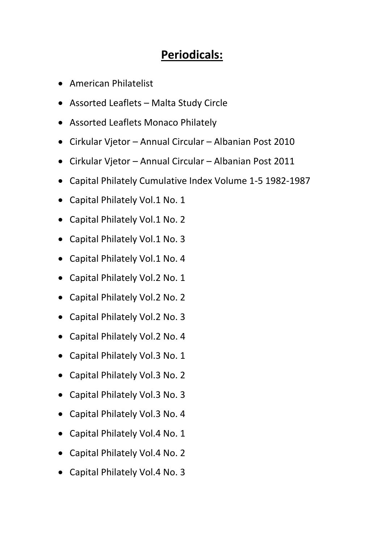## **Periodicals:**

- American Philatelist
- Assorted Leaflets Malta Study Circle
- Assorted Leaflets Monaco Philately
- Cirkular Vjetor Annual Circular Albanian Post 2010
- Cirkular Vjetor Annual Circular Albanian Post 2011
- Capital Philately Cumulative Index Volume 1-5 1982-1987
- Capital Philately Vol.1 No. 1
- Capital Philately Vol.1 No. 2
- Capital Philately Vol.1 No. 3
- Capital Philately Vol.1 No. 4
- Capital Philately Vol.2 No. 1
- Capital Philately Vol.2 No. 2
- Capital Philately Vol.2 No. 3
- Capital Philately Vol.2 No. 4
- Capital Philately Vol.3 No. 1
- Capital Philately Vol.3 No. 2
- Capital Philately Vol.3 No. 3
- Capital Philately Vol.3 No. 4
- Capital Philately Vol.4 No. 1
- Capital Philately Vol.4 No. 2
- Capital Philately Vol.4 No. 3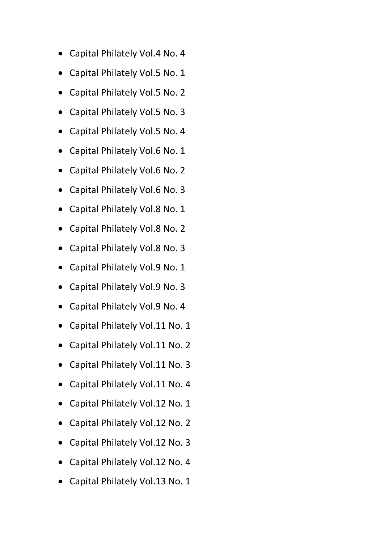- Capital Philately Vol.4 No. 4
- Capital Philately Vol.5 No. 1
- Capital Philately Vol.5 No. 2
- Capital Philately Vol.5 No. 3
- Capital Philately Vol.5 No. 4
- Capital Philately Vol.6 No. 1
- Capital Philately Vol.6 No. 2
- Capital Philately Vol.6 No. 3
- Capital Philately Vol.8 No. 1
- Capital Philately Vol.8 No. 2
- Capital Philately Vol.8 No. 3
- Capital Philately Vol.9 No. 1
- Capital Philately Vol.9 No. 3
- Capital Philately Vol.9 No. 4
- Capital Philately Vol.11 No. 1
- Capital Philately Vol.11 No. 2
- Capital Philately Vol.11 No. 3
- Capital Philately Vol.11 No. 4
- Capital Philately Vol.12 No. 1
- Capital Philately Vol.12 No. 2
- Capital Philately Vol.12 No. 3
- Capital Philately Vol.12 No. 4
- Capital Philately Vol.13 No. 1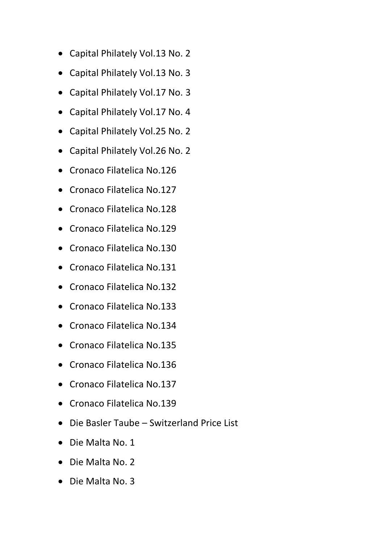- Capital Philately Vol.13 No. 2
- Capital Philately Vol.13 No. 3
- Capital Philately Vol.17 No. 3
- Capital Philately Vol.17 No. 4
- Capital Philately Vol.25 No. 2
- Capital Philately Vol.26 No. 2
- Cronaco Filatelica No.126
- Cronaco Filatelica No.127
- Cronaco Filatelica No.128
- Cronaco Filatelica No.129
- Cronaco Filatelica No.130
- Cronaco Filatelica No.131
- Cronaco Filatelica No.132
- Cronaco Filatelica No.133
- Cronaco Filatelica No.134
- Cronaco Filatelica No.135
- Cronaco Filatelica No.136
- Cronaco Filatelica No.137
- Cronaco Filatelica No.139
- Die Basler Taube Switzerland Price List
- Die Malta No. 1
- Die Malta No. 2
- Die Malta No. 3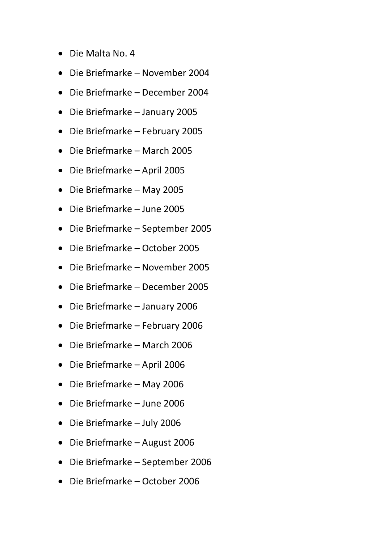- Die Malta No. 4
- Die Briefmarke November 2004
- Die Briefmarke December 2004
- Die Briefmarke January 2005
- Die Briefmarke February 2005
- Die Briefmarke March 2005
- Die Briefmarke April 2005
- Die Briefmarke May 2005
- Die Briefmarke June 2005
- Die Briefmarke September 2005
- Die Briefmarke October 2005
- Die Briefmarke November 2005
- Die Briefmarke December 2005
- Die Briefmarke January 2006
- Die Briefmarke February 2006
- Die Briefmarke March 2006
- Die Briefmarke April 2006
- Die Briefmarke May 2006
- Die Briefmarke June 2006
- Die Briefmarke July 2006
- Die Briefmarke August 2006
- Die Briefmarke September 2006
- Die Briefmarke October 2006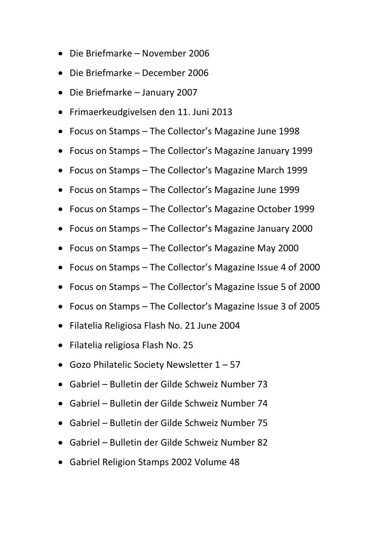- Die Briefmarke November 2006
- Die Briefmarke December 2006
- Die Briefmarke January 2007
- Frimaerkeudgivelsen den 11. Juni 2013
- Focus on Stamps The Collector's Magazine June 1998
- Focus on Stamps The Collector's Magazine January 1999
- Focus on Stamps The Collector's Magazine March 1999
- Focus on Stamps The Collector's Magazine June 1999
- Focus on Stamps The Collector's Magazine October 1999
- Focus on Stamps The Collector's Magazine January 2000
- Focus on Stamps The Collector's Magazine May 2000
- Focus on Stamps The Collector's Magazine Issue 4 of 2000
- Focus on Stamps The Collector's Magazine Issue 5 of 2000
- Focus on Stamps The Collector's Magazine Issue 3 of 2005
- Filatelia Religiosa Flash No. 21 June 2004
- Filatelia religiosa Flash No. 25
- Gozo Philatelic Society Newsletter 1 57
- Gabriel Bulletin der Gilde Schweiz Number 73
- Gabriel Bulletin der Gilde Schweiz Number 74
- Gabriel Bulletin der Gilde Schweiz Number 75
- Gabriel Bulletin der Gilde Schweiz Number 82
- Gabriel Religion Stamps 2002 Volume 48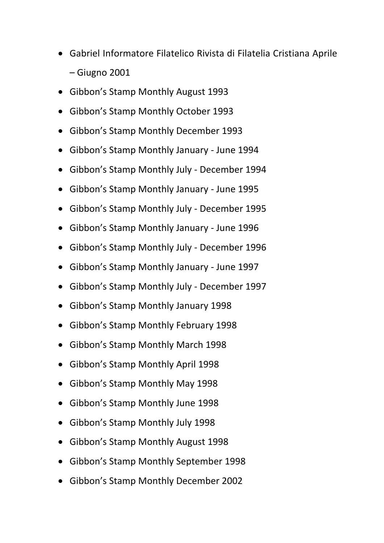- Gabriel Informatore Filatelico Rivista di Filatelia Cristiana Aprile – Giugno 2001
- Gibbon's Stamp Monthly August 1993
- Gibbon's Stamp Monthly October 1993
- Gibbon's Stamp Monthly December 1993
- Gibbon's Stamp Monthly January June 1994
- Gibbon's Stamp Monthly July December 1994
- Gibbon's Stamp Monthly January June 1995
- Gibbon's Stamp Monthly July December 1995
- Gibbon's Stamp Monthly January June 1996
- Gibbon's Stamp Monthly July December 1996
- Gibbon's Stamp Monthly January June 1997
- Gibbon's Stamp Monthly July December 1997
- Gibbon's Stamp Monthly January 1998
- Gibbon's Stamp Monthly February 1998
- Gibbon's Stamp Monthly March 1998
- Gibbon's Stamp Monthly April 1998
- Gibbon's Stamp Monthly May 1998
- Gibbon's Stamp Monthly June 1998
- Gibbon's Stamp Monthly July 1998
- Gibbon's Stamp Monthly August 1998
- Gibbon's Stamp Monthly September 1998
- Gibbon's Stamp Monthly December 2002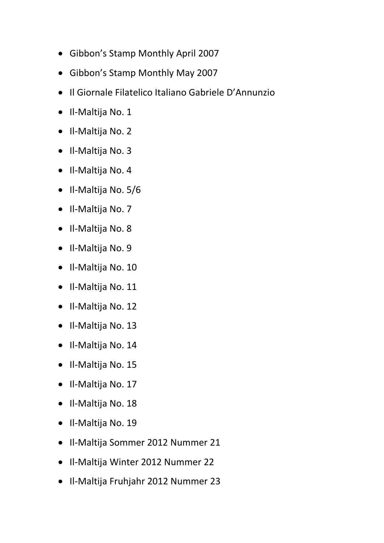- Gibbon's Stamp Monthly April 2007
- Gibbon's Stamp Monthly May 2007
- Il Giornale Filatelico Italiano Gabriele D'Annunzio
- Il-Maltija No. 1
- Il-Maltija No. 2
- Il-Maltija No. 3
- Il-Maltija No. 4
- Il-Maltija No. 5/6
- Il-Maltija No. 7
- Il-Maltija No. 8
- Il-Maltija No. 9
- Il-Maltija No. 10
- Il-Maltija No. 11
- Il-Maltija No. 12
- Il-Maltija No. 13
- Il-Maltija No. 14
- Il-Maltija No. 15
- Il-Maltija No. 17
- Il-Maltija No. 18
- Il-Maltija No. 19
- Il-Maltija Sommer 2012 Nummer 21
- Il-Maltija Winter 2012 Nummer 22
- Il-Maltija Fruhjahr 2012 Nummer 23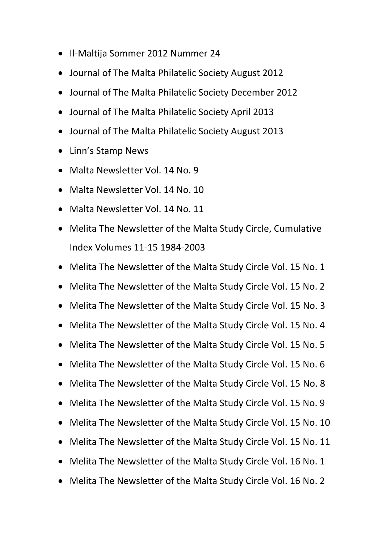- Il-Maltija Sommer 2012 Nummer 24
- Journal of The Malta Philatelic Society August 2012
- Journal of The Malta Philatelic Society December 2012
- Journal of The Malta Philatelic Society April 2013
- Journal of The Malta Philatelic Society August 2013
- Linn's Stamp News
- Malta Newsletter Vol. 14 No. 9
- Malta Newsletter Vol. 14 No. 10
- Malta Newsletter Vol. 14 No. 11
- Melita The Newsletter of the Malta Study Circle, Cumulative Index Volumes 11-15 1984-2003
- Melita The Newsletter of the Malta Study Circle Vol. 15 No. 1
- Melita The Newsletter of the Malta Study Circle Vol. 15 No. 2
- Melita The Newsletter of the Malta Study Circle Vol. 15 No. 3
- Melita The Newsletter of the Malta Study Circle Vol. 15 No. 4
- Melita The Newsletter of the Malta Study Circle Vol. 15 No. 5
- Melita The Newsletter of the Malta Study Circle Vol. 15 No. 6
- Melita The Newsletter of the Malta Study Circle Vol. 15 No. 8
- Melita The Newsletter of the Malta Study Circle Vol. 15 No. 9
- Melita The Newsletter of the Malta Study Circle Vol. 15 No. 10
- Melita The Newsletter of the Malta Study Circle Vol. 15 No. 11
- Melita The Newsletter of the Malta Study Circle Vol. 16 No. 1
- Melita The Newsletter of the Malta Study Circle Vol. 16 No. 2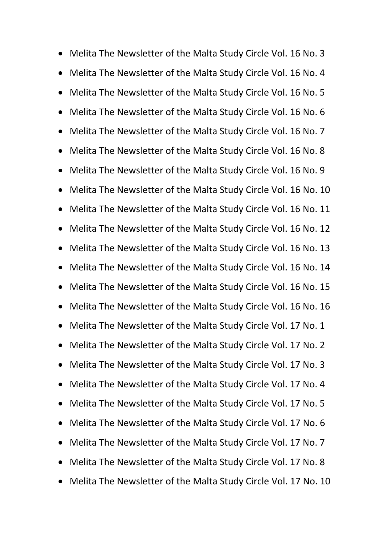Melita The Newsletter of the Malta Study Circle Vol. 16 No. 3 Melita The Newsletter of the Malta Study Circle Vol. 16 No. 4 Melita The Newsletter of the Malta Study Circle Vol. 16 No. 5 Melita The Newsletter of the Malta Study Circle Vol. 16 No. 6 Melita The Newsletter of the Malta Study Circle Vol. 16 No. 7 Melita The Newsletter of the Malta Study Circle Vol. 16 No. 8 Melita The Newsletter of the Malta Study Circle Vol. 16 No. 9 Melita The Newsletter of the Malta Study Circle Vol. 16 No. 10 Melita The Newsletter of the Malta Study Circle Vol. 16 No. 11 Melita The Newsletter of the Malta Study Circle Vol. 16 No. 12 Melita The Newsletter of the Malta Study Circle Vol. 16 No. 13 Melita The Newsletter of the Malta Study Circle Vol. 16 No. 14 Melita The Newsletter of the Malta Study Circle Vol. 16 No. 15 Melita The Newsletter of the Malta Study Circle Vol. 16 No. 16 Melita The Newsletter of the Malta Study Circle Vol. 17 No. 1 Melita The Newsletter of the Malta Study Circle Vol. 17 No. 2 Melita The Newsletter of the Malta Study Circle Vol. 17 No. 3 Melita The Newsletter of the Malta Study Circle Vol. 17 No. 4 Melita The Newsletter of the Malta Study Circle Vol. 17 No. 5 Melita The Newsletter of the Malta Study Circle Vol. 17 No. 6 Melita The Newsletter of the Malta Study Circle Vol. 17 No. 7 Melita The Newsletter of the Malta Study Circle Vol. 17 No. 8 Melita The Newsletter of the Malta Study Circle Vol. 17 No. 10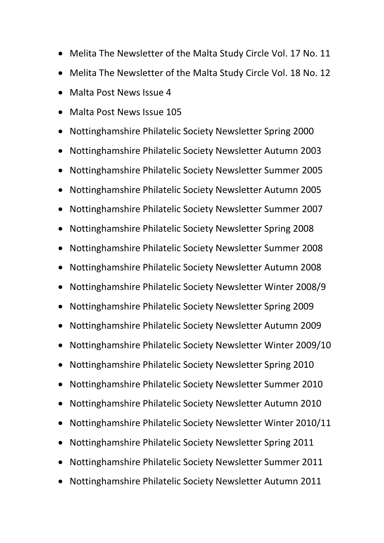- Melita The Newsletter of the Malta Study Circle Vol. 17 No. 11
- Melita The Newsletter of the Malta Study Circle Vol. 18 No. 12
- Malta Post News Issue 4
- Malta Post News Issue 105
- Nottinghamshire Philatelic Society Newsletter Spring 2000
- Nottinghamshire Philatelic Society Newsletter Autumn 2003
- Nottinghamshire Philatelic Society Newsletter Summer 2005
- Nottinghamshire Philatelic Society Newsletter Autumn 2005
- Nottinghamshire Philatelic Society Newsletter Summer 2007
- Nottinghamshire Philatelic Society Newsletter Spring 2008
- Nottinghamshire Philatelic Society Newsletter Summer 2008
- Nottinghamshire Philatelic Society Newsletter Autumn 2008
- Nottinghamshire Philatelic Society Newsletter Winter 2008/9
- Nottinghamshire Philatelic Society Newsletter Spring 2009
- Nottinghamshire Philatelic Society Newsletter Autumn 2009
- Nottinghamshire Philatelic Society Newsletter Winter 2009/10
- Nottinghamshire Philatelic Society Newsletter Spring 2010
- Nottinghamshire Philatelic Society Newsletter Summer 2010
- Nottinghamshire Philatelic Society Newsletter Autumn 2010
- Nottinghamshire Philatelic Society Newsletter Winter 2010/11
- Nottinghamshire Philatelic Society Newsletter Spring 2011
- Nottinghamshire Philatelic Society Newsletter Summer 2011
- Nottinghamshire Philatelic Society Newsletter Autumn 2011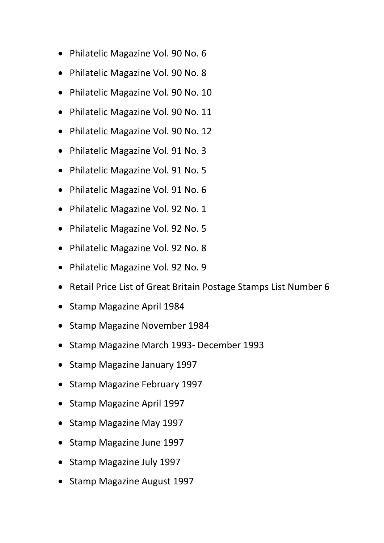- Philatelic Magazine Vol. 90 No. 6
- Philatelic Magazine Vol. 90 No. 8
- Philatelic Magazine Vol. 90 No. 10
- Philatelic Magazine Vol. 90 No. 11
- Philatelic Magazine Vol. 90 No. 12
- Philatelic Magazine Vol. 91 No. 3
- Philatelic Magazine Vol. 91 No. 5
- Philatelic Magazine Vol. 91 No. 6
- Philatelic Magazine Vol. 92 No. 1
- Philatelic Magazine Vol. 92 No. 5
- Philatelic Magazine Vol. 92 No. 8
- Philatelic Magazine Vol. 92 No. 9
- Retail Price List of Great Britain Postage Stamps List Number 6
- Stamp Magazine April 1984
- Stamp Magazine November 1984
- Stamp Magazine March 1993- December 1993
- Stamp Magazine January 1997
- Stamp Magazine February 1997
- Stamp Magazine April 1997
- Stamp Magazine May 1997
- Stamp Magazine June 1997
- Stamp Magazine July 1997
- Stamp Magazine August 1997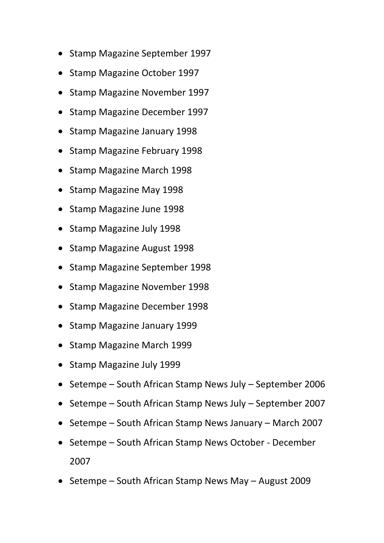- Stamp Magazine September 1997
- Stamp Magazine October 1997
- Stamp Magazine November 1997
- Stamp Magazine December 1997
- Stamp Magazine January 1998
- Stamp Magazine February 1998
- Stamp Magazine March 1998
- Stamp Magazine May 1998
- Stamp Magazine June 1998
- Stamp Magazine July 1998
- Stamp Magazine August 1998
- Stamp Magazine September 1998
- Stamp Magazine November 1998
- Stamp Magazine December 1998
- Stamp Magazine January 1999
- Stamp Magazine March 1999
- Stamp Magazine July 1999
- Setempe South African Stamp News July September 2006
- Setempe South African Stamp News July September 2007
- Setempe South African Stamp News January March 2007
- Setempe South African Stamp News October December 2007
- Setempe South African Stamp News May August 2009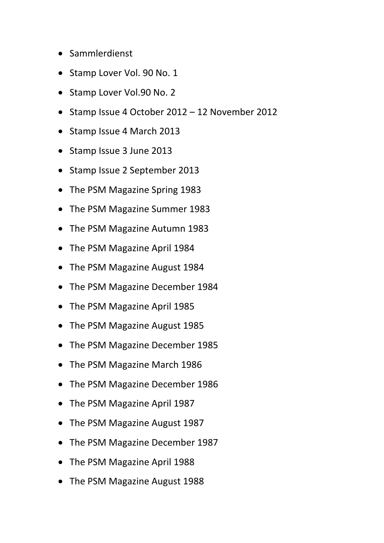- Sammlerdienst
- Stamp Lover Vol. 90 No. 1
- Stamp Lover Vol.90 No. 2
- Stamp Issue 4 October 2012 12 November 2012
- Stamp Issue 4 March 2013
- Stamp Issue 3 June 2013
- Stamp Issue 2 September 2013
- The PSM Magazine Spring 1983
- The PSM Magazine Summer 1983
- The PSM Magazine Autumn 1983
- The PSM Magazine April 1984
- The PSM Magazine August 1984
- The PSM Magazine December 1984
- The PSM Magazine April 1985
- The PSM Magazine August 1985
- The PSM Magazine December 1985
- The PSM Magazine March 1986
- The PSM Magazine December 1986
- The PSM Magazine April 1987
- The PSM Magazine August 1987
- The PSM Magazine December 1987
- The PSM Magazine April 1988
- The PSM Magazine August 1988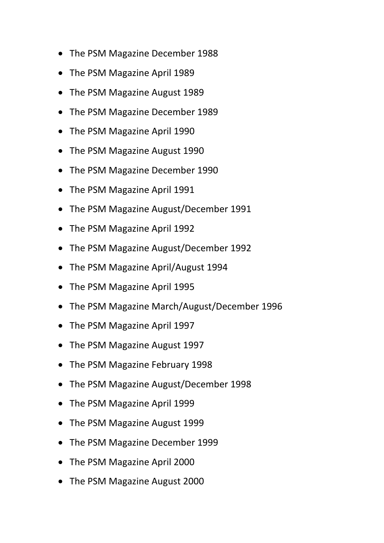- The PSM Magazine December 1988
- The PSM Magazine April 1989
- The PSM Magazine August 1989
- The PSM Magazine December 1989
- The PSM Magazine April 1990
- The PSM Magazine August 1990
- The PSM Magazine December 1990
- The PSM Magazine April 1991
- The PSM Magazine August/December 1991
- The PSM Magazine April 1992
- The PSM Magazine August/December 1992
- The PSM Magazine April/August 1994
- The PSM Magazine April 1995
- The PSM Magazine March/August/December 1996
- The PSM Magazine April 1997
- The PSM Magazine August 1997
- The PSM Magazine February 1998
- The PSM Magazine August/December 1998
- The PSM Magazine April 1999
- The PSM Magazine August 1999
- The PSM Magazine December 1999
- The PSM Magazine April 2000
- The PSM Magazine August 2000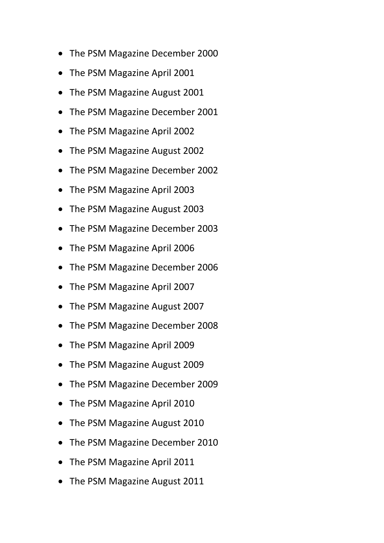- The PSM Magazine December 2000
- The PSM Magazine April 2001
- The PSM Magazine August 2001
- The PSM Magazine December 2001
- The PSM Magazine April 2002
- The PSM Magazine August 2002
- The PSM Magazine December 2002
- The PSM Magazine April 2003
- The PSM Magazine August 2003
- The PSM Magazine December 2003
- The PSM Magazine April 2006
- The PSM Magazine December 2006
- The PSM Magazine April 2007
- The PSM Magazine August 2007
- The PSM Magazine December 2008
- The PSM Magazine April 2009
- The PSM Magazine August 2009
- The PSM Magazine December 2009
- The PSM Magazine April 2010
- The PSM Magazine August 2010
- The PSM Magazine December 2010
- The PSM Magazine April 2011
- The PSM Magazine August 2011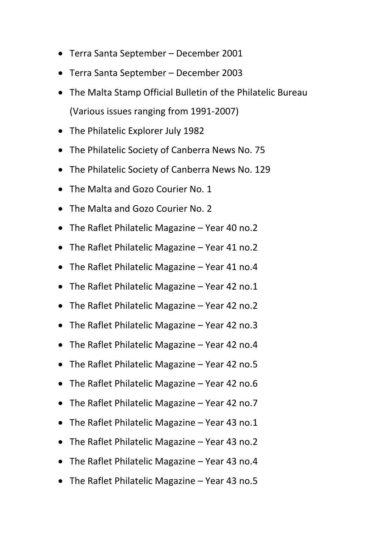- Terra Santa September December 2001
- Terra Santa September December 2003
- The Malta Stamp Official Bulletin of the Philatelic Bureau (Various issues ranging from 1991-2007)
- The Philatelic Explorer July 1982
- The Philatelic Society of Canberra News No. 75
- The Philatelic Society of Canberra News No. 129
- The Malta and Gozo Courier No. 1
- The Malta and Gozo Courier No. 2
- The Raflet Philatelic Magazine Year 40 no.2
- The Raflet Philatelic Magazine Year 41 no.2
- The Raflet Philatelic Magazine Year 41 no.4
- The Raflet Philatelic Magazine Year 42 no.1
- The Raflet Philatelic Magazine Year 42 no.2
- The Raflet Philatelic Magazine Year 42 no.3
- The Raflet Philatelic Magazine Year 42 no.4
- The Raflet Philatelic Magazine Year 42 no.5
- The Raflet Philatelic Magazine Year 42 no.6
- The Raflet Philatelic Magazine Year 42 no.7
- The Raflet Philatelic Magazine Year 43 no.1
- The Raflet Philatelic Magazine Year 43 no.2
- The Raflet Philatelic Magazine Year 43 no.4
- The Raflet Philatelic Magazine Year 43 no.5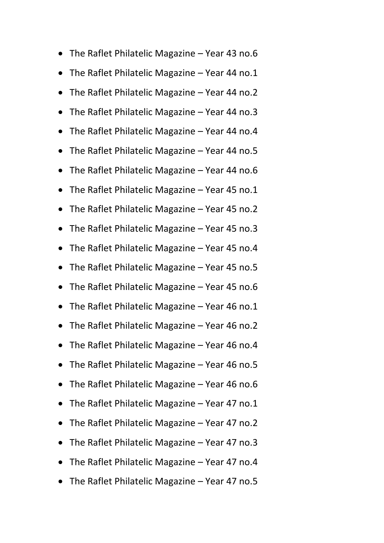- The Raflet Philatelic Magazine Year 43 no.6
- The Raflet Philatelic Magazine Year 44 no.1
- The Raflet Philatelic Magazine Year 44 no.2
- The Raflet Philatelic Magazine Year 44 no.3
- The Raflet Philatelic Magazine Year 44 no.4
- The Raflet Philatelic Magazine Year 44 no.5
- The Raflet Philatelic Magazine Year 44 no.6
- The Raflet Philatelic Magazine Year 45 no.1
- The Raflet Philatelic Magazine Year 45 no.2
- The Raflet Philatelic Magazine Year 45 no.3
- The Raflet Philatelic Magazine Year 45 no.4
- The Raflet Philatelic Magazine Year 45 no.5
- The Raflet Philatelic Magazine Year 45 no.6
- The Raflet Philatelic Magazine Year 46 no.1
- The Raflet Philatelic Magazine Year 46 no.2
- The Raflet Philatelic Magazine Year 46 no.4
- The Raflet Philatelic Magazine Year 46 no.5
- The Raflet Philatelic Magazine Year 46 no.6
- The Raflet Philatelic Magazine Year 47 no.1
- The Raflet Philatelic Magazine Year 47 no.2
- The Raflet Philatelic Magazine Year 47 no.3
- The Raflet Philatelic Magazine Year 47 no.4
- The Raflet Philatelic Magazine Year 47 no.5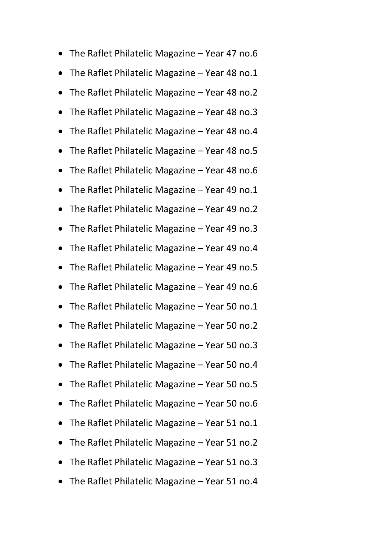- The Raflet Philatelic Magazine Year 47 no.6
- The Raflet Philatelic Magazine Year 48 no.1
- The Raflet Philatelic Magazine Year 48 no.2
- The Raflet Philatelic Magazine Year 48 no.3
- The Raflet Philatelic Magazine Year 48 no.4
- The Raflet Philatelic Magazine Year 48 no.5
- The Raflet Philatelic Magazine Year 48 no.6
- The Raflet Philatelic Magazine Year 49 no.1
- The Raflet Philatelic Magazine Year 49 no.2
- The Raflet Philatelic Magazine Year 49 no.3
- The Raflet Philatelic Magazine Year 49 no.4
- The Raflet Philatelic Magazine Year 49 no.5
- The Raflet Philatelic Magazine Year 49 no.6
- The Raflet Philatelic Magazine Year 50 no.1
- The Raflet Philatelic Magazine Year 50 no.2
- The Raflet Philatelic Magazine Year 50 no.3
- The Raflet Philatelic Magazine Year 50 no.4
- The Raflet Philatelic Magazine Year 50 no.5
- The Raflet Philatelic Magazine Year 50 no.6
- The Raflet Philatelic Magazine Year 51 no.1
- The Raflet Philatelic Magazine Year 51 no.2
- The Raflet Philatelic Magazine Year 51 no.3
- The Raflet Philatelic Magazine Year 51 no.4